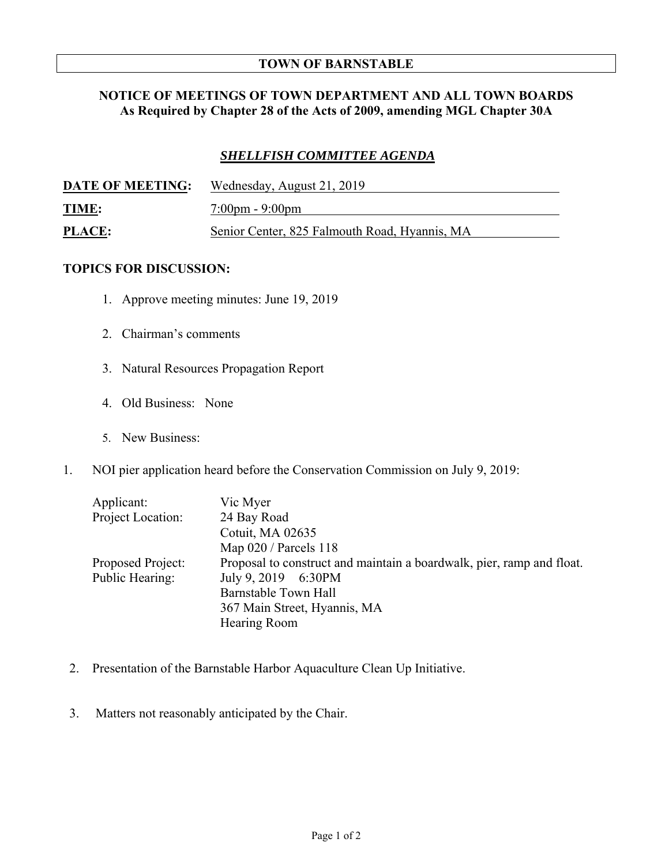## **TOWN OF BARNSTABLE**

## **NOTICE OF MEETINGS OF TOWN DEPARTMENT AND ALL TOWN BOARDS As Required by Chapter 28 of the Acts of 2009, amending MGL Chapter 30A**

## *SHELLFISH COMMITTEE AGENDA*

| <b>DATE OF MEETING:</b> | Wednesday, August 21, 2019                    |
|-------------------------|-----------------------------------------------|
| <b>TIME:</b>            | $7:00 \text{pm} - 9:00 \text{pm}$             |
| <b>PLACE:</b>           | Senior Center, 825 Falmouth Road, Hyannis, MA |

## **TOPICS FOR DISCUSSION:**

- 1. Approve meeting minutes: June 19, 2019
- 2. Chairman's comments
- 3. Natural Resources Propagation Report
- 4. Old Business: None
- 5. New Business:
- 1. NOI pier application heard before the Conservation Commission on July 9, 2019:

| Applicant:        | Vic Myer                                                              |
|-------------------|-----------------------------------------------------------------------|
| Project Location: | 24 Bay Road                                                           |
|                   | Cotuit, MA 02635                                                      |
|                   | Map $020/$ Parcels 118                                                |
| Proposed Project: | Proposal to construct and maintain a boardwalk, pier, ramp and float. |
| Public Hearing:   | July 9, 2019 6:30PM                                                   |
|                   | <b>Barnstable Town Hall</b>                                           |
|                   | 367 Main Street, Hyannis, MA                                          |
|                   | Hearing Room                                                          |
|                   |                                                                       |

- 2. Presentation of the Barnstable Harbor Aquaculture Clean Up Initiative.
- 3. Matters not reasonably anticipated by the Chair.